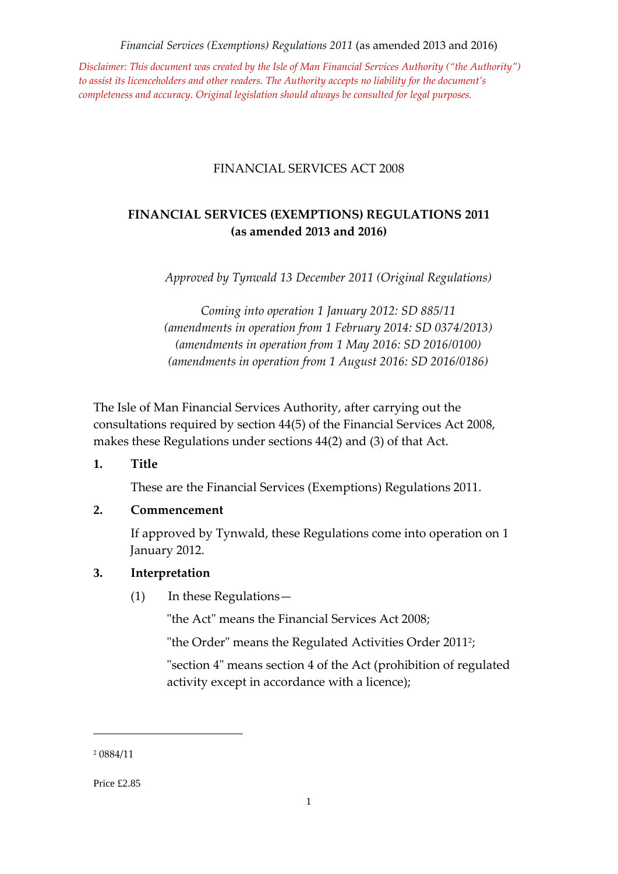*Disclaimer: This document was created by the Isle of Man Financial Services Authority ("the Authority") to assist its licenceholders and other readers. The Authority accepts no liability for the document's completeness and accuracy. Original legislation should always be consulted for legal purposes.*

#### FINANCIAL SERVICES ACT 2008

# **FINANCIAL SERVICES (EXEMPTIONS) REGULATIONS 2011 (as amended 2013 and 2016)**

*Approved by Tynwald 13 December 2011 (Original Regulations)*

*Coming into operation 1 January 2012: SD 885/11 (amendments in operation from 1 February 2014: SD 0374/2013) (amendments in operation from 1 May 2016: SD 2016/0100) (amendments in operation from 1 August 2016: SD 2016/0186)*

The Isle of Man Financial Services Authority, after carrying out the consultations required by section 44(5) of the Financial Services Act 2008, makes these Regulations under sections 44(2) and (3) of that Act.

**1. Title**

These are the Financial Services (Exemptions) Regulations 2011.

#### **2. Commencement**

If approved by Tynwald, these Regulations come into operation on 1 January 2012.

#### **3. Interpretation**

(1) In these Regulations—

"the Act" means the Financial Services Act 2008;

"the Order" means the Regulated Activities Order 2011<del>'</del>;

"section 4" means section 4 of the Act (prohibition of regulated activity except in accordance with a licence);

<sup>2</sup> 0884/11

Price £2.85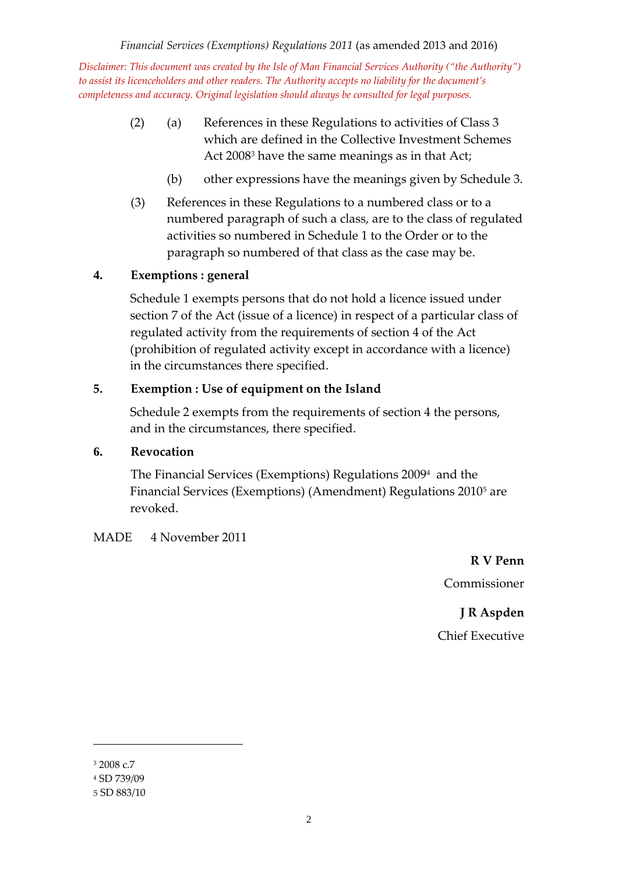- (2) (a) References in these Regulations to activities of Class 3 which are defined in the Collective Investment Schemes Act 2008<sup>3</sup> have the same meanings as in that Act;
	- (b) other expressions have the meanings given by Schedule 3.
- (3) References in these Regulations to a numbered class or to a numbered paragraph of such a class, are to the class of regulated activities so numbered in Schedule 1 to the Order or to the paragraph so numbered of that class as the case may be.

# **4. Exemptions : general**

Schedule 1 exempts persons that do not hold a licence issued under section 7 of the Act (issue of a licence) in respect of a particular class of regulated activity from the requirements of section 4 of the Act (prohibition of regulated activity except in accordance with a licence) in the circumstances there specified.

# **5. Exemption : Use of equipment on the Island**

Schedule 2 exempts from the requirements of section 4 the persons, and in the circumstances, there specified.

## **6. Revocation**

The Financial Services (Exemptions) Regulations 2009 <sup>4</sup> and the Financial Services (Exemptions) (Amendment) Regulations 2010<sup>5</sup> are revoked.

## MADE 4 November 2011

**R V Penn** Commissioner

**J R Aspden** Chief Executive

<sup>3</sup> 2008 c.7

<sup>4</sup> SD 739/09

<sup>5</sup> SD 883/10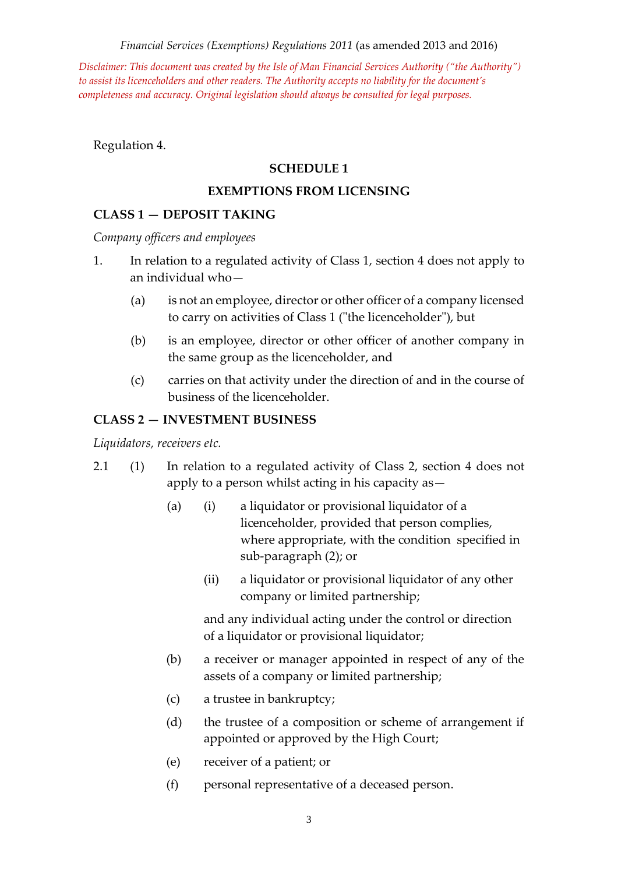*Disclaimer: This document was created by the Isle of Man Financial Services Authority ("the Authority") to assist its licenceholders and other readers. The Authority accepts no liability for the document's completeness and accuracy. Original legislation should always be consulted for legal purposes.*

Regulation 4.

#### **SCHEDULE 1**

#### **EXEMPTIONS FROM LICENSING**

#### **CLASS 1 — DEPOSIT TAKING**

*Company officers and employees*

- 1. In relation to a regulated activity of Class 1, section 4 does not apply to an individual who—
	- (a) is not an employee, director or other officer of a company licensed to carry on activities of Class 1 ("the licenceholder"), but
	- (b) is an employee, director or other officer of another company in the same group as the licenceholder, and
	- (c) carries on that activity under the direction of and in the course of business of the licenceholder.

#### **CLASS 2 — INVESTMENT BUSINESS**

*Liquidators, receivers etc.*

- 2.1 (1) In relation to a regulated activity of Class 2, section 4 does not apply to a person whilst acting in his capacity as—
	- (a) (i) a liquidator or provisional liquidator of a licenceholder, provided that person complies, where appropriate, with the condition specified in sub-paragraph (2); or
		- (ii) a liquidator or provisional liquidator of any other company or limited partnership;

and any individual acting under the control or direction of a liquidator or provisional liquidator;

- (b) a receiver or manager appointed in respect of any of the assets of a company or limited partnership;
- (c) a trustee in bankruptcy;
- (d) the trustee of a composition or scheme of arrangement if appointed or approved by the High Court;
- (e) receiver of a patient; or
- (f) personal representative of a deceased person.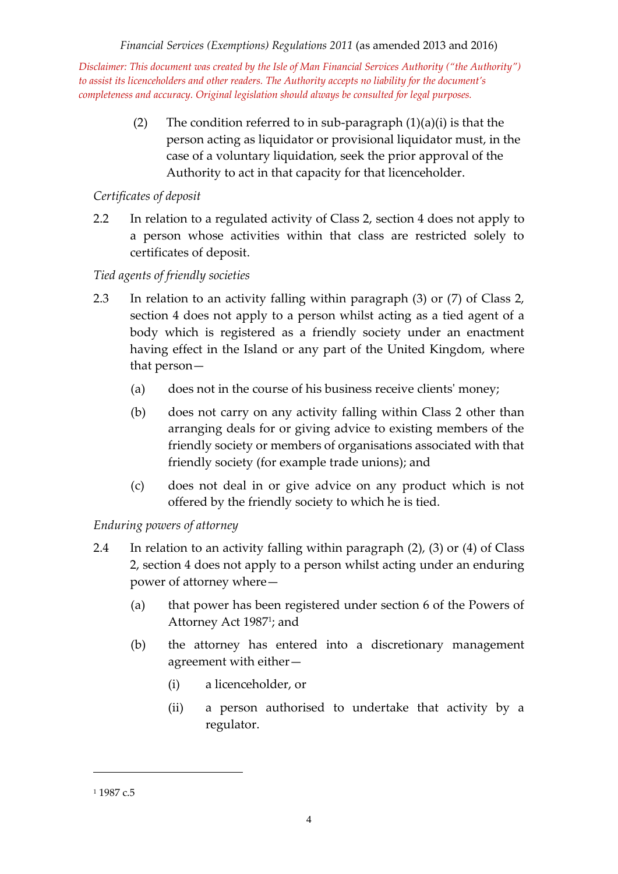> (2) The condition referred to in sub-paragraph  $(1)(a)(i)$  is that the person acting as liquidator or provisional liquidator must, in the case of a voluntary liquidation, seek the prior approval of the Authority to act in that capacity for that licenceholder.

# *Certificates of deposit*

2.2 In relation to a regulated activity of Class 2, section 4 does not apply to a person whose activities within that class are restricted solely to certificates of deposit.

# *Tied agents of friendly societies*

- 2.3 In relation to an activity falling within paragraph (3) or (7) of Class 2, section 4 does not apply to a person whilst acting as a tied agent of a body which is registered as a friendly society under an enactment having effect in the Island or any part of the United Kingdom, where that person—
	- (a) does not in the course of his business receive clients' money;
	- (b) does not carry on any activity falling within Class 2 other than arranging deals for or giving advice to existing members of the friendly society or members of organisations associated with that friendly society (for example trade unions); and
	- (c) does not deal in or give advice on any product which is not offered by the friendly society to which he is tied.

# *Enduring powers of attorney*

- 2.4 In relation to an activity falling within paragraph (2), (3) or (4) of Class 2, section 4 does not apply to a person whilst acting under an enduring power of attorney where—
	- (a) that power has been registered under section 6 of the Powers of Attorney Act 1987<sup>1</sup> ; and
	- (b) the attorney has entered into a discretionary management agreement with either—
		- (i) a licenceholder, or
		- (ii) a person authorised to undertake that activity by a regulator.

<sup>&</sup>lt;sup>1</sup> 1987 c.5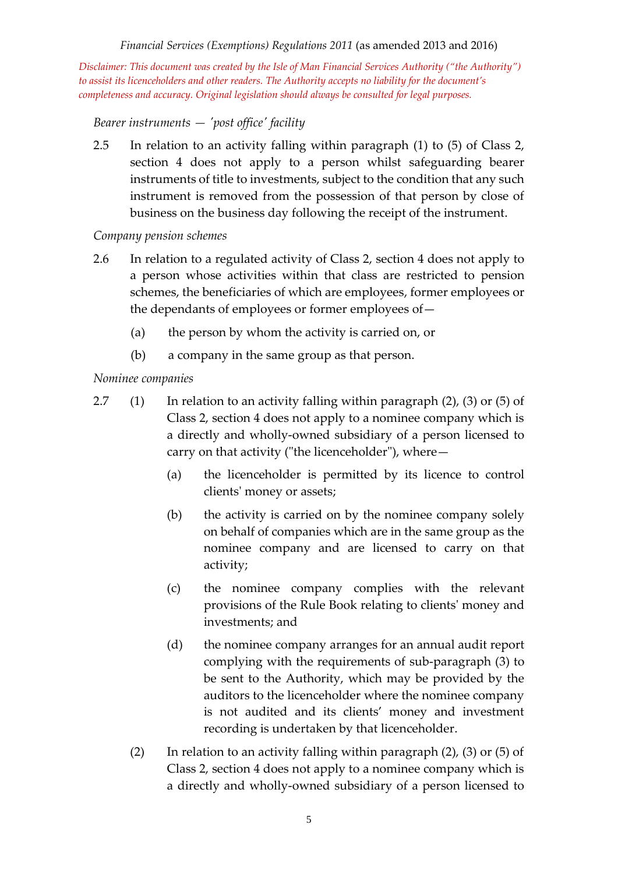*Disclaimer: This document was created by the Isle of Man Financial Services Authority ("the Authority") to assist its licenceholders and other readers. The Authority accepts no liability for the document's completeness and accuracy. Original legislation should always be consulted for legal purposes.*

*Bearer instruments — 'post office' facility*

2.5 In relation to an activity falling within paragraph (1) to (5) of Class 2, section 4 does not apply to a person whilst safeguarding bearer instruments of title to investments, subject to the condition that any such instrument is removed from the possession of that person by close of business on the business day following the receipt of the instrument.

#### *Company pension schemes*

- 2.6 In relation to a regulated activity of Class 2, section 4 does not apply to a person whose activities within that class are restricted to pension schemes, the beneficiaries of which are employees, former employees or the dependants of employees or former employees of—
	- (a) the person by whom the activity is carried on, or
	- (b) a company in the same group as that person.

#### *Nominee companies*

- 2.7 (1) In relation to an activity falling within paragraph (2), (3) or (5) of Class 2, section 4 does not apply to a nominee company which is a directly and wholly-owned subsidiary of a person licensed to carry on that activity ("the licenceholder"), where—
	- (a) the licenceholder is permitted by its licence to control clients' money or assets;
	- (b) the activity is carried on by the nominee company solely on behalf of companies which are in the same group as the nominee company and are licensed to carry on that activity;
	- (c) the nominee company complies with the relevant provisions of the Rule Book relating to clients' money and investments; and
	- (d) the nominee company arranges for an annual audit report complying with the requirements of sub-paragraph (3) to be sent to the Authority, which may be provided by the auditors to the licenceholder where the nominee company is not audited and its clients' money and investment recording is undertaken by that licenceholder.
	- (2) In relation to an activity falling within paragraph  $(2)$ ,  $(3)$  or  $(5)$  of Class 2, section 4 does not apply to a nominee company which is a directly and wholly-owned subsidiary of a person licensed to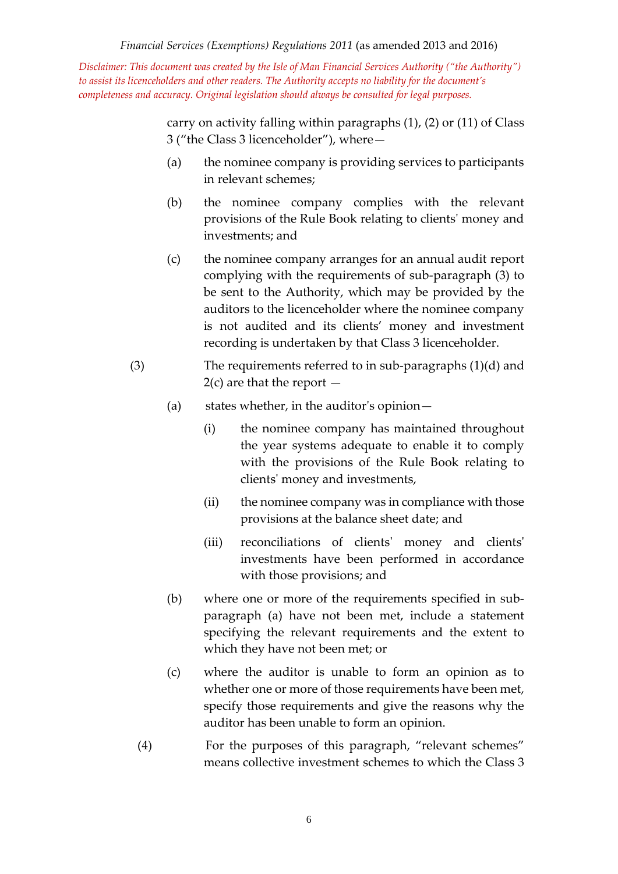> carry on activity falling within paragraphs (1), (2) or (11) of Class 3 ("the Class 3 licenceholder"), where—

- (a) the nominee company is providing services to participants in relevant schemes;
- (b) the nominee company complies with the relevant provisions of the Rule Book relating to clients' money and investments; and
- (c) the nominee company arranges for an annual audit report complying with the requirements of sub-paragraph (3) to be sent to the Authority, which may be provided by the auditors to the licenceholder where the nominee company is not audited and its clients' money and investment recording is undertaken by that Class 3 licenceholder.
- (3) The requirements referred to in sub-paragraphs (1)(d) and  $2(c)$  are that the report  $-$ 
	- (a) states whether, in the auditor's opinion—
		- (i) the nominee company has maintained throughout the year systems adequate to enable it to comply with the provisions of the Rule Book relating to clients' money and investments,
		- (ii) the nominee company was in compliance with those provisions at the balance sheet date; and
		- (iii) reconciliations of clients' money and clients' investments have been performed in accordance with those provisions; and
	- (b) where one or more of the requirements specified in subparagraph (a) have not been met, include a statement specifying the relevant requirements and the extent to which they have not been met; or
	- (c) where the auditor is unable to form an opinion as to whether one or more of those requirements have been met, specify those requirements and give the reasons why the auditor has been unable to form an opinion.
	- (4) For the purposes of this paragraph, "relevant schemes" means collective investment schemes to which the Class 3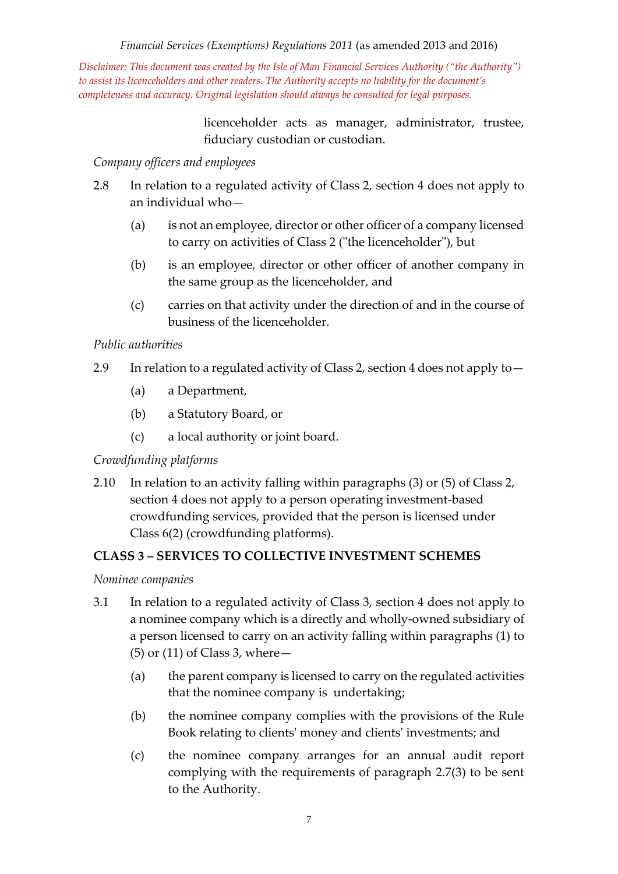*Disclaimer: This document was created by the Isle of Man Financial Services Authority ("the Authority") to assist its licenceholders and other readers. The Authority accepts no liability for the document's completeness and accuracy. Original legislation should always be consulted for legal purposes.*

> licenceholder acts as manager, administrator, trustee, fiduciary custodian or custodian.

#### *Company officers and employees*

- 2.8 In relation to a regulated activity of Class 2, section 4 does not apply to an individual who—
	- (a) is not an employee, director or other officer of a company licensed to carry on activities of Class 2 ("the licenceholder"), but
	- (b) is an employee, director or other officer of another company in the same group as the licenceholder, and
	- (c) carries on that activity under the direction of and in the course of business of the licenceholder.

#### *Public authorities*

- 2.9 In relation to a regulated activity of Class 2, section 4 does not apply to—
	- (a) a Department,
	- (b) a Statutory Board, or
	- (c) a local authority or joint board.

## *Crowdfunding platforms*

2.10 In relation to an activity falling within paragraphs (3) or (5) of Class 2, section 4 does not apply to a person operating investment-based crowdfunding services, provided that the person is licensed under Class 6(2) (crowdfunding platforms).

## **CLASS 3 – SERVICES TO COLLECTIVE INVESTMENT SCHEMES**

## *Nominee companies*

- 3.1 In relation to a regulated activity of Class 3, section 4 does not apply to a nominee company which is a directly and wholly-owned subsidiary of a person licensed to carry on an activity falling within paragraphs (1) to (5) or (11) of Class 3, where—
	- (a) the parent company is licensed to carry on the regulated activities that the nominee company is undertaking;
	- (b) the nominee company complies with the provisions of the Rule Book relating to clients' money and clients' investments; and
	- (c) the nominee company arranges for an annual audit report complying with the requirements of paragraph 2.7(3) to be sent to the Authority.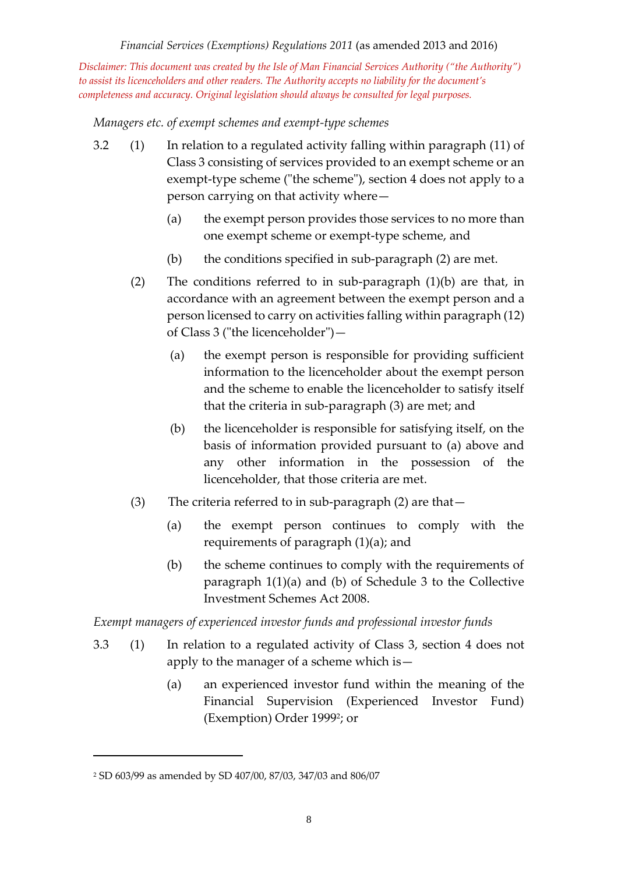*Disclaimer: This document was created by the Isle of Man Financial Services Authority ("the Authority") to assist its licenceholders and other readers. The Authority accepts no liability for the document's completeness and accuracy. Original legislation should always be consulted for legal purposes.*

*Managers etc. of exempt schemes and exempt-type schemes*

- 3.2 (1) In relation to a regulated activity falling within paragraph (11) of Class 3 consisting of services provided to an exempt scheme or an exempt-type scheme ("the scheme"), section 4 does not apply to a person carrying on that activity where—
	- (a) the exempt person provides those services to no more than one exempt scheme or exempt-type scheme, and
	- (b) the conditions specified in sub-paragraph (2) are met.
	- (2) The conditions referred to in sub-paragraph (1)(b) are that, in accordance with an agreement between the exempt person and a person licensed to carry on activities falling within paragraph (12) of Class 3 ("the licenceholder")—
		- (a) the exempt person is responsible for providing sufficient information to the licenceholder about the exempt person and the scheme to enable the licenceholder to satisfy itself that the criteria in sub-paragraph (3) are met; and
		- (b) the licenceholder is responsible for satisfying itself, on the basis of information provided pursuant to (a) above and any other information in the possession of the licenceholder, that those criteria are met.
	- (3) The criteria referred to in sub-paragraph (2) are that—
		- (a) the exempt person continues to comply with the requirements of paragraph (1)(a); and
		- (b) the scheme continues to comply with the requirements of paragraph 1(1)(a) and (b) of Schedule 3 to the Collective Investment Schemes Act 2008.

*Exempt managers of experienced investor funds and professional investor funds* 

- 3.3 (1) In relation to a regulated activity of Class 3, section 4 does not apply to the manager of a scheme which is—
	- (a) an experienced investor fund within the meaning of the Financial Supervision (Experienced Investor Fund) (Exemption) Order 1999<sup>2</sup> ; or

<sup>2</sup> SD 603/99 as amended by SD 407/00, 87/03, 347/03 and 806/07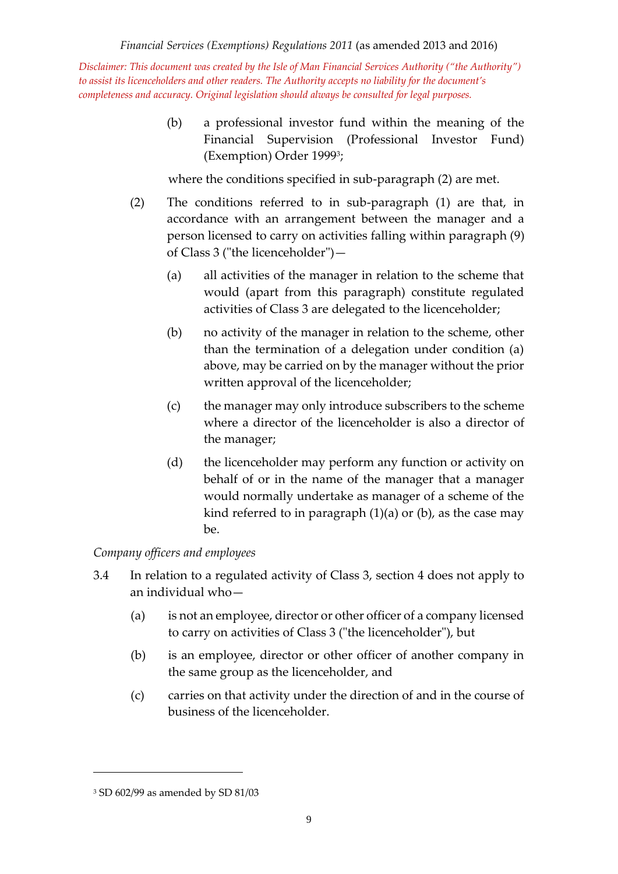> (b) a professional investor fund within the meaning of the Financial Supervision (Professional Investor Fund) (Exemption) Order 1999<sup>3</sup> ;

where the conditions specified in sub-paragraph (2) are met.

- (2) The conditions referred to in sub-paragraph (1) are that, in accordance with an arrangement between the manager and a person licensed to carry on activities falling within paragraph (9) of Class 3 ("the licenceholder")—
	- (a) all activities of the manager in relation to the scheme that would (apart from this paragraph) constitute regulated activities of Class 3 are delegated to the licenceholder;
	- (b) no activity of the manager in relation to the scheme, other than the termination of a delegation under condition (a) above, may be carried on by the manager without the prior written approval of the licenceholder;
	- (c) the manager may only introduce subscribers to the scheme where a director of the licenceholder is also a director of the manager;
	- (d) the licenceholder may perform any function or activity on behalf of or in the name of the manager that a manager would normally undertake as manager of a scheme of the kind referred to in paragraph (1)(a) or (b), as the case may be.

# *Company officers and employees*

- 3.4 In relation to a regulated activity of Class 3, section 4 does not apply to an individual who—
	- (a) is not an employee, director or other officer of a company licensed to carry on activities of Class 3 ("the licenceholder"), but
	- (b) is an employee, director or other officer of another company in the same group as the licenceholder, and
	- (c) carries on that activity under the direction of and in the course of business of the licenceholder.

<sup>3</sup> SD 602/99 as amended by SD 81/03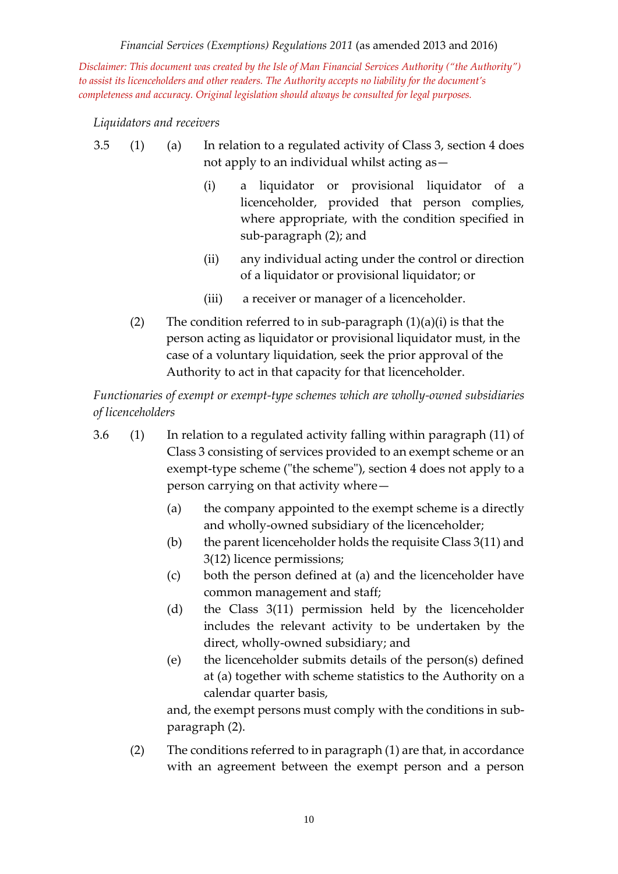*Disclaimer: This document was created by the Isle of Man Financial Services Authority ("the Authority") to assist its licenceholders and other readers. The Authority accepts no liability for the document's completeness and accuracy. Original legislation should always be consulted for legal purposes.*

*Liquidators and receivers*

- 3.5 (1) (a) In relation to a regulated activity of Class 3, section 4 does not apply to an individual whilst acting as—
	- (i) a liquidator or provisional liquidator of a licenceholder, provided that person complies, where appropriate, with the condition specified in sub-paragraph (2); and
	- (ii) any individual acting under the control or direction of a liquidator or provisional liquidator; or
	- (iii) a receiver or manager of a licenceholder.
	- (2) The condition referred to in sub-paragraph  $(1)(a)(i)$  is that the person acting as liquidator or provisional liquidator must, in the case of a voluntary liquidation, seek the prior approval of the Authority to act in that capacity for that licenceholder.

*Functionaries of exempt or exempt-type schemes which are wholly-owned subsidiaries of licenceholders* 

- 3.6 (1) In relation to a regulated activity falling within paragraph (11) of Class 3 consisting of services provided to an exempt scheme or an exempt-type scheme ("the scheme"), section 4 does not apply to a person carrying on that activity where—
	- (a) the company appointed to the exempt scheme is a directly and wholly-owned subsidiary of the licenceholder;
	- (b) the parent licenceholder holds the requisite Class 3(11) and 3(12) licence permissions;
	- (c) both the person defined at (a) and the licenceholder have common management and staff;
	- (d) the Class 3(11) permission held by the licenceholder includes the relevant activity to be undertaken by the direct, wholly-owned subsidiary; and
	- (e) the licenceholder submits details of the person(s) defined at (a) together with scheme statistics to the Authority on a calendar quarter basis,

and, the exempt persons must comply with the conditions in subparagraph (2).

(2) The conditions referred to in paragraph (1) are that, in accordance with an agreement between the exempt person and a person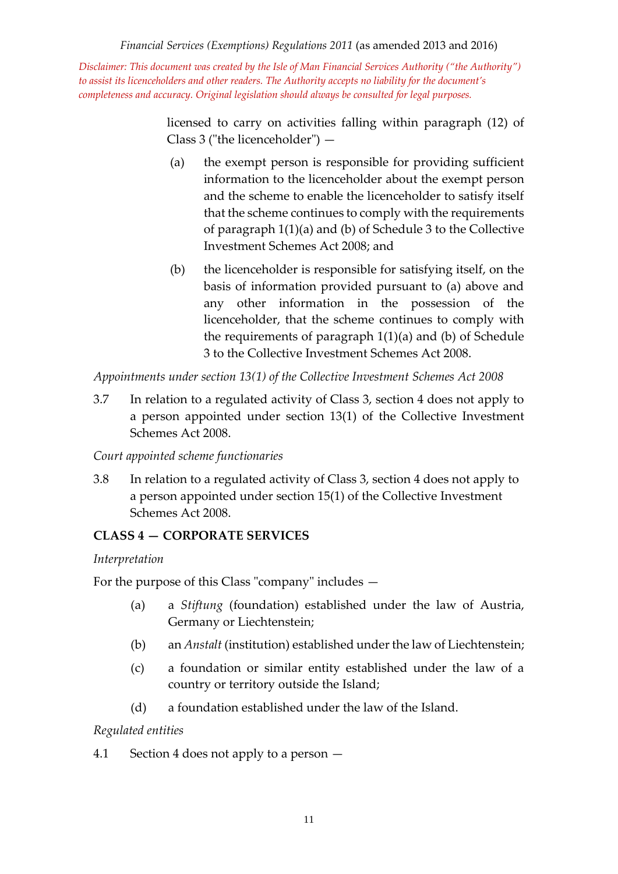*Disclaimer: This document was created by the Isle of Man Financial Services Authority ("the Authority") to assist its licenceholders and other readers. The Authority accepts no liability for the document's completeness and accuracy. Original legislation should always be consulted for legal purposes.*

> licensed to carry on activities falling within paragraph (12) of Class 3 ("the licenceholder") —

- (a) the exempt person is responsible for providing sufficient information to the licenceholder about the exempt person and the scheme to enable the licenceholder to satisfy itself that the scheme continues to comply with the requirements of paragraph 1(1)(a) and (b) of Schedule 3 to the Collective Investment Schemes Act 2008; and
- (b) the licenceholder is responsible for satisfying itself, on the basis of information provided pursuant to (a) above and any other information in the possession of the licenceholder, that the scheme continues to comply with the requirements of paragraph 1(1)(a) and (b) of Schedule 3 to the Collective Investment Schemes Act 2008.

*Appointments under section 13(1) of the Collective Investment Schemes Act 2008*

3.7 In relation to a regulated activity of Class 3, section 4 does not apply to a person appointed under section 13(1) of the Collective Investment Schemes Act 2008.

*Court appointed scheme functionaries*

3.8 In relation to a regulated activity of Class 3, section 4 does not apply to a person appointed under section 15(1) of the Collective Investment Schemes Act 2008.

# **CLASS 4 — CORPORATE SERVICES**

## *Interpretation*

For the purpose of this Class "company" includes —

- (a) a *Stiftung* (foundation) established under the law of Austria, Germany or Liechtenstein;
- (b) an *Anstalt* (institution) established under the law of Liechtenstein;
- (c) a foundation or similar entity established under the law of a country or territory outside the Island;
- (d) a foundation established under the law of the Island.

## *Regulated entities*

4.1 Section 4 does not apply to a person —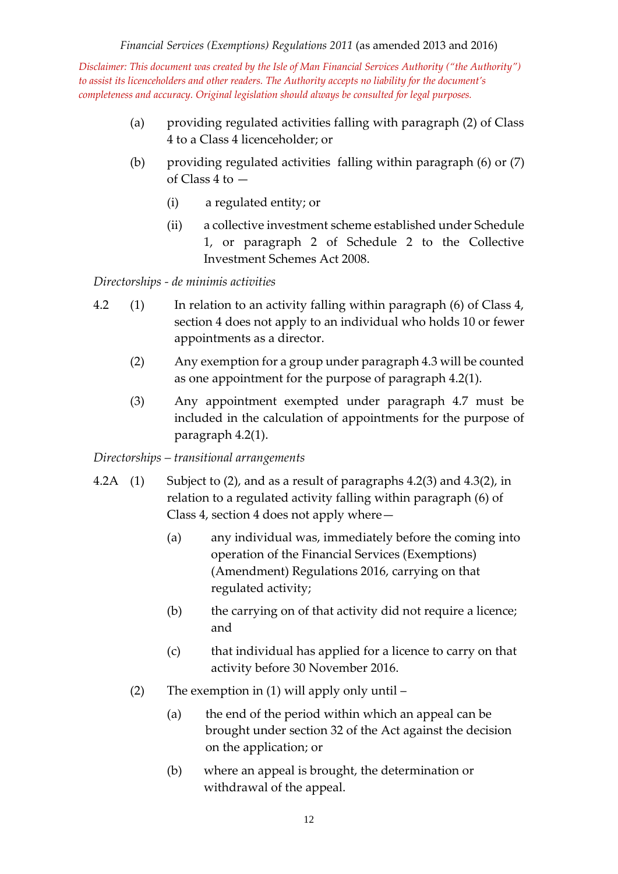- (a) providing regulated activities falling with paragraph (2) of Class 4 to a Class 4 licenceholder; or
- (b) providing regulated activities falling within paragraph (6) or (7) of Class 4 to —
	- (i) a regulated entity; or
	- (ii) a collective investment scheme established under Schedule 1, or paragraph 2 of Schedule 2 to the Collective Investment Schemes Act 2008.

*Directorships - de minimis activities*

- 4.2 (1) In relation to an activity falling within paragraph (6) of Class 4, section 4 does not apply to an individual who holds 10 or fewer appointments as a director.
	- (2) Any exemption for a group under paragraph 4.3 will be counted as one appointment for the purpose of paragraph 4.2(1).
	- (3) Any appointment exempted under paragraph 4.7 must be included in the calculation of appointments for the purpose of paragraph 4.2(1).

*Directorships – transitional arrangements*

- 4.2A (1) Subject to (2), and as a result of paragraphs 4.2(3) and 4.3(2), in relation to a regulated activity falling within paragraph (6) of Class 4, section 4 does not apply where—
	- (a) any individual was, immediately before the coming into operation of the Financial Services (Exemptions) (Amendment) Regulations 2016, carrying on that regulated activity;
	- (b) the carrying on of that activity did not require a licence; and
	- (c) that individual has applied for a licence to carry on that activity before 30 November 2016.
	- (2) The exemption in (1) will apply only until
		- (a) the end of the period within which an appeal can be brought under section 32 of the Act against the decision on the application; or
		- (b) where an appeal is brought, the determination or withdrawal of the appeal.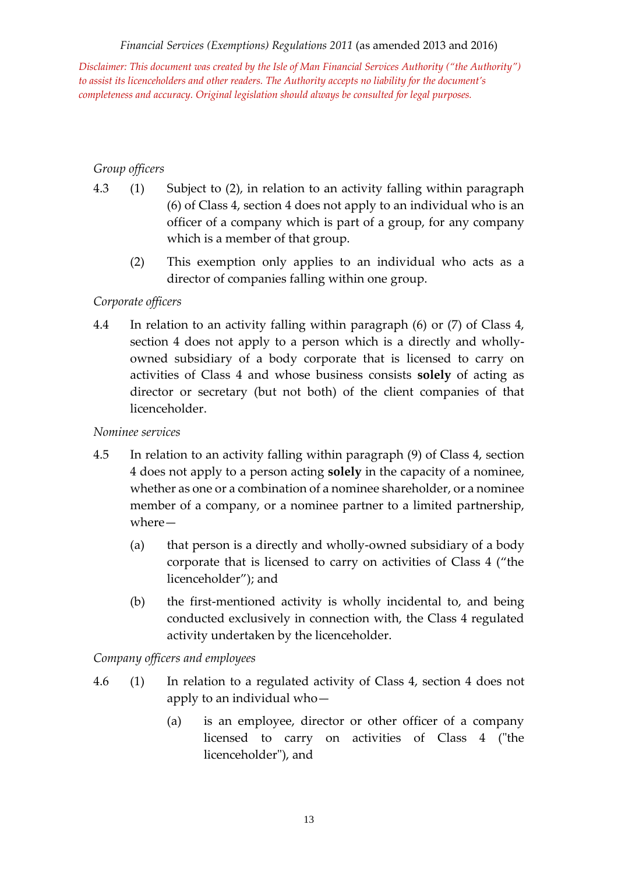*Disclaimer: This document was created by the Isle of Man Financial Services Authority ("the Authority") to assist its licenceholders and other readers. The Authority accepts no liability for the document's completeness and accuracy. Original legislation should always be consulted for legal purposes.*

# *Group officers*

- 4.3 (1) Subject to (2), in relation to an activity falling within paragraph (6) of Class 4, section 4 does not apply to an individual who is an officer of a company which is part of a group, for any company which is a member of that group.
	- (2) This exemption only applies to an individual who acts as a director of companies falling within one group.

# *Corporate officers*

4.4 In relation to an activity falling within paragraph (6) or (7) of Class 4, section 4 does not apply to a person which is a directly and whollyowned subsidiary of a body corporate that is licensed to carry on activities of Class 4 and whose business consists **solely** of acting as director or secretary (but not both) of the client companies of that licenceholder.

## *Nominee services*

- 4.5 In relation to an activity falling within paragraph (9) of Class 4, section 4 does not apply to a person acting **solely** in the capacity of a nominee, whether as one or a combination of a nominee shareholder, or a nominee member of a company, or a nominee partner to a limited partnership, where—
	- (a) that person is a directly and wholly-owned subsidiary of a body corporate that is licensed to carry on activities of Class 4 ("the licenceholder"); and
	- (b) the first-mentioned activity is wholly incidental to, and being conducted exclusively in connection with, the Class 4 regulated activity undertaken by the licenceholder.

## *Company officers and employees*

- 4.6 (1) In relation to a regulated activity of Class 4, section 4 does not apply to an individual who—
	- (a) is an employee, director or other officer of a company licensed to carry on activities of Class 4 ("the licenceholder"), and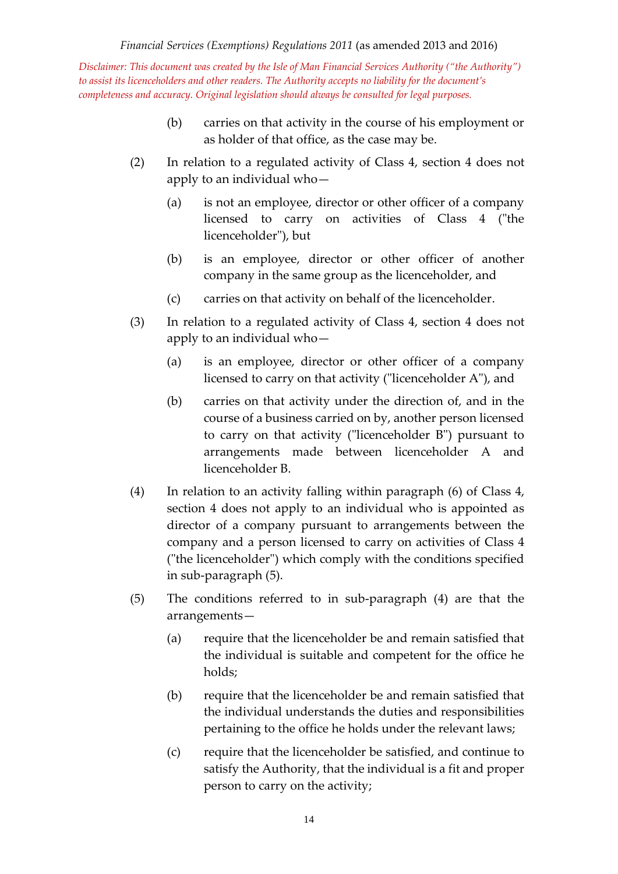- (b) carries on that activity in the course of his employment or as holder of that office, as the case may be.
- (2) In relation to a regulated activity of Class 4, section 4 does not apply to an individual who—
	- (a) is not an employee, director or other officer of a company licensed to carry on activities of Class 4 ("the licenceholder"), but
	- (b) is an employee, director or other officer of another company in the same group as the licenceholder, and
	- (c) carries on that activity on behalf of the licenceholder.
- (3) In relation to a regulated activity of Class 4, section 4 does not apply to an individual who—
	- (a) is an employee, director or other officer of a company licensed to carry on that activity ("licenceholder A"), and
	- (b) carries on that activity under the direction of, and in the course of a business carried on by, another person licensed to carry on that activity ("licenceholder B") pursuant to arrangements made between licenceholder A and licenceholder B.
- (4) In relation to an activity falling within paragraph (6) of Class 4, section 4 does not apply to an individual who is appointed as director of a company pursuant to arrangements between the company and a person licensed to carry on activities of Class 4 ("the licenceholder") which comply with the conditions specified in sub-paragraph (5).
- (5) The conditions referred to in sub-paragraph (4) are that the arrangements—
	- (a) require that the licenceholder be and remain satisfied that the individual is suitable and competent for the office he holds;
	- (b) require that the licenceholder be and remain satisfied that the individual understands the duties and responsibilities pertaining to the office he holds under the relevant laws;
	- (c) require that the licenceholder be satisfied, and continue to satisfy the Authority, that the individual is a fit and proper person to carry on the activity;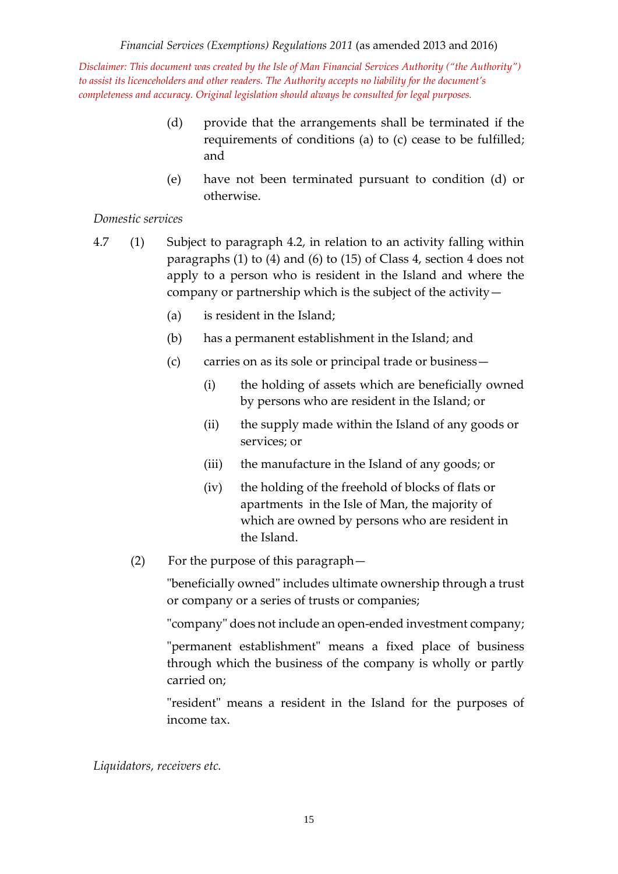- (d) provide that the arrangements shall be terminated if the requirements of conditions (a) to (c) cease to be fulfilled; and
- (e) have not been terminated pursuant to condition (d) or otherwise.

# *Domestic services*

- 4.7 (1) Subject to paragraph 4.2, in relation to an activity falling within paragraphs (1) to (4) and (6) to (15) of Class 4, section 4 does not apply to a person who is resident in the Island and where the company or partnership which is the subject of the activity—
	- (a) is resident in the Island;
	- (b) has a permanent establishment in the Island; and
	- (c) carries on as its sole or principal trade or business—
		- (i) the holding of assets which are beneficially owned by persons who are resident in the Island; or
		- (ii) the supply made within the Island of any goods or services; or
		- (iii) the manufacture in the Island of any goods; or
		- (iv) the holding of the freehold of blocks of flats or apartments in the Isle of Man, the majority of which are owned by persons who are resident in the Island.
	- (2) For the purpose of this paragraph—

"beneficially owned" includes ultimate ownership through a trust or company or a series of trusts or companies;

"company" does not include an open-ended investment company;

"permanent establishment" means a fixed place of business through which the business of the company is wholly or partly carried on;

"resident" means a resident in the Island for the purposes of income tax.

*Liquidators, receivers etc.*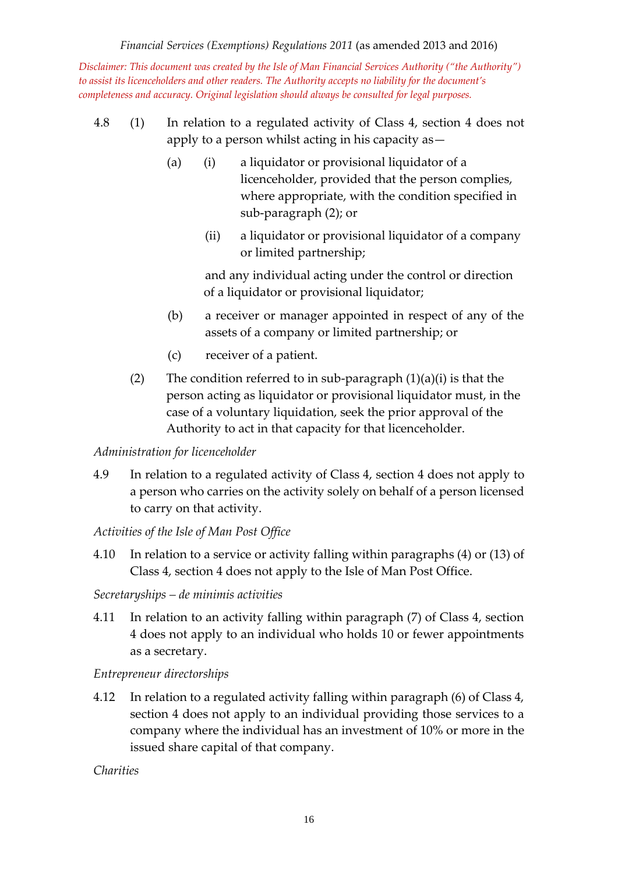*Disclaimer: This document was created by the Isle of Man Financial Services Authority ("the Authority") to assist its licenceholders and other readers. The Authority accepts no liability for the document's completeness and accuracy. Original legislation should always be consulted for legal purposes.*

- 4.8 (1) In relation to a regulated activity of Class 4, section 4 does not apply to a person whilst acting in his capacity as—
	- (a) (i) a liquidator or provisional liquidator of a licenceholder, provided that the person complies, where appropriate, with the condition specified in sub-paragraph (2); or
		- (ii) a liquidator or provisional liquidator of a company or limited partnership;

and any individual acting under the control or direction of a liquidator or provisional liquidator;

- (b) a receiver or manager appointed in respect of any of the assets of a company or limited partnership; or
- (c) receiver of a patient.
- (2) The condition referred to in sub-paragraph  $(1)(a)(i)$  is that the person acting as liquidator or provisional liquidator must, in the case of a voluntary liquidation, seek the prior approval of the Authority to act in that capacity for that licenceholder.

## *Administration for licenceholder*

4.9 In relation to a regulated activity of Class 4, section 4 does not apply to a person who carries on the activity solely on behalf of a person licensed to carry on that activity.

## *Activities of the Isle of Man Post Office*

- 4.10 In relation to a service or activity falling within paragraphs (4) or (13) of Class 4, section 4 does not apply to the Isle of Man Post Office.
- *Secretaryships – de minimis activities*
- 4.11 In relation to an activity falling within paragraph (7) of Class 4, section 4 does not apply to an individual who holds 10 or fewer appointments as a secretary.

## *Entrepreneur directorships*

4.12 In relation to a regulated activity falling within paragraph (6) of Class 4, section 4 does not apply to an individual providing those services to a company where the individual has an investment of 10% or more in the issued share capital of that company.

*Charities*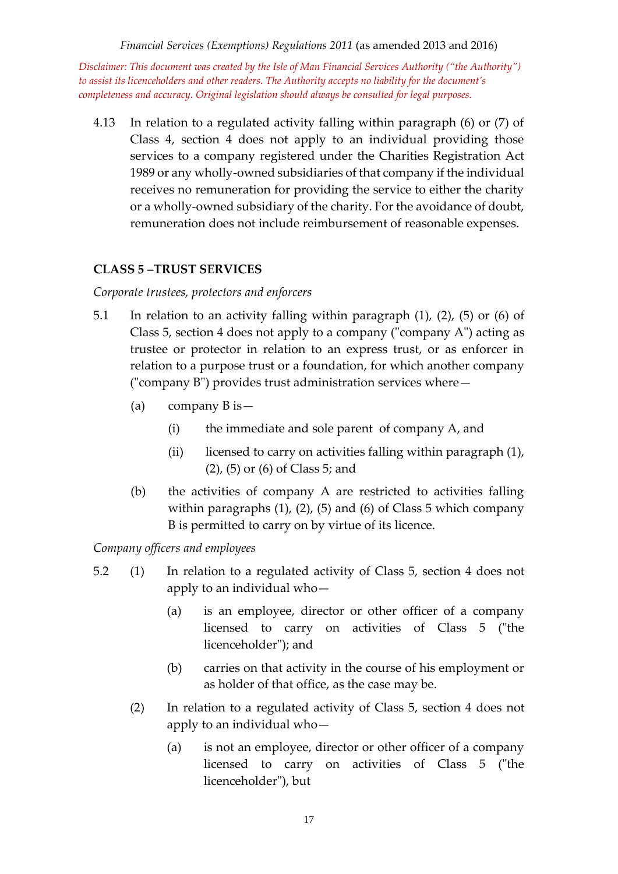*Disclaimer: This document was created by the Isle of Man Financial Services Authority ("the Authority") to assist its licenceholders and other readers. The Authority accepts no liability for the document's completeness and accuracy. Original legislation should always be consulted for legal purposes.*

4.13 In relation to a regulated activity falling within paragraph (6) or (7) of Class 4, section 4 does not apply to an individual providing those services to a company registered under the Charities Registration Act 1989 or any wholly-owned subsidiaries of that company if the individual receives no remuneration for providing the service to either the charity or a wholly-owned subsidiary of the charity. For the avoidance of doubt, remuneration does not include reimbursement of reasonable expenses.

# **CLASS 5 –TRUST SERVICES**

*Corporate trustees, protectors and enforcers*

- 5.1 In relation to an activity falling within paragraph (1), (2), (5) or (6) of Class 5, section 4 does not apply to a company ("company A") acting as trustee or protector in relation to an express trust, or as enforcer in relation to a purpose trust or a foundation, for which another company ("company B") provides trust administration services where—
	- (a) company B is—
		- (i) the immediate and sole parent of company A, and
		- (ii) licensed to carry on activities falling within paragraph (1), (2), (5) or (6) of Class 5; and
	- (b) the activities of company A are restricted to activities falling within paragraphs (1), (2), (5) and (6) of Class 5 which company B is permitted to carry on by virtue of its licence.

*Company officers and employees*

- 5.2 (1) In relation to a regulated activity of Class 5, section 4 does not apply to an individual who—
	- (a) is an employee, director or other officer of a company licensed to carry on activities of Class 5 ("the licenceholder"); and
	- (b) carries on that activity in the course of his employment or as holder of that office, as the case may be.
	- (2) In relation to a regulated activity of Class 5, section 4 does not apply to an individual who—
		- (a) is not an employee, director or other officer of a company licensed to carry on activities of Class 5 ("the licenceholder"), but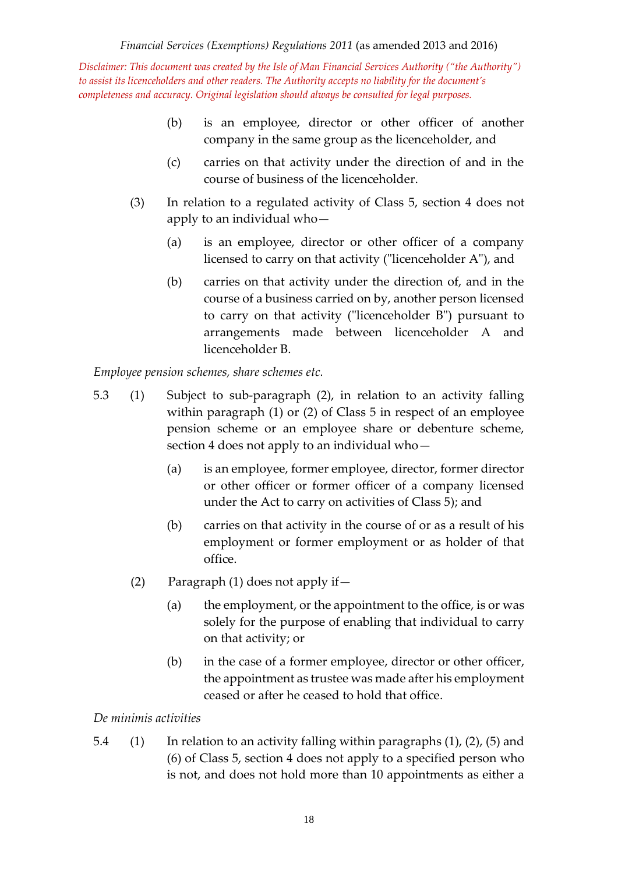- (b) is an employee, director or other officer of another company in the same group as the licenceholder, and
- (c) carries on that activity under the direction of and in the course of business of the licenceholder.
- (3) In relation to a regulated activity of Class 5, section 4 does not apply to an individual who—
	- (a) is an employee, director or other officer of a company licensed to carry on that activity ("licenceholder A"), and
	- (b) carries on that activity under the direction of, and in the course of a business carried on by, another person licensed to carry on that activity ("licenceholder B") pursuant to arrangements made between licenceholder A and licenceholder B.

*Employee pension schemes, share schemes etc.*

- 5.3 (1) Subject to sub-paragraph (2), in relation to an activity falling within paragraph (1) or (2) of Class 5 in respect of an employee pension scheme or an employee share or debenture scheme, section 4 does not apply to an individual who—
	- (a) is an employee, former employee, director, former director or other officer or former officer of a company licensed under the Act to carry on activities of Class 5); and
	- (b) carries on that activity in the course of or as a result of his employment or former employment or as holder of that office.
	- (2) Paragraph (1) does not apply if—
		- (a) the employment, or the appointment to the office, is or was solely for the purpose of enabling that individual to carry on that activity; or
		- (b) in the case of a former employee, director or other officer, the appointment as trustee was made after his employment ceased or after he ceased to hold that office.

## *De minimis activities*

5.4 (1) In relation to an activity falling within paragraphs (1), (2), (5) and (6) of Class 5, section 4 does not apply to a specified person who is not, and does not hold more than 10 appointments as either a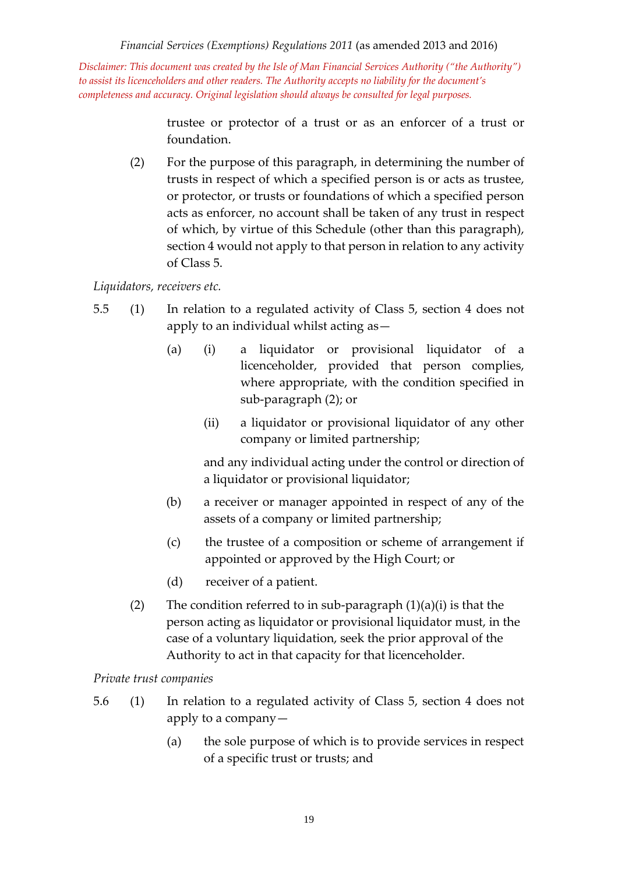*Disclaimer: This document was created by the Isle of Man Financial Services Authority ("the Authority") to assist its licenceholders and other readers. The Authority accepts no liability for the document's completeness and accuracy. Original legislation should always be consulted for legal purposes.*

> trustee or protector of a trust or as an enforcer of a trust or foundation.

(2) For the purpose of this paragraph, in determining the number of trusts in respect of which a specified person is or acts as trustee, or protector, or trusts or foundations of which a specified person acts as enforcer, no account shall be taken of any trust in respect of which, by virtue of this Schedule (other than this paragraph), section 4 would not apply to that person in relation to any activity of Class 5.

# *Liquidators, receivers etc.*

- 5.5 (1) In relation to a regulated activity of Class 5, section 4 does not apply to an individual whilst acting as—
	- (a) (i) a liquidator or provisional liquidator of a licenceholder, provided that person complies, where appropriate, with the condition specified in sub-paragraph (2); or
		- (ii) a liquidator or provisional liquidator of any other company or limited partnership;

and any individual acting under the control or direction of a liquidator or provisional liquidator;

- (b) a receiver or manager appointed in respect of any of the assets of a company or limited partnership;
- (c) the trustee of a composition or scheme of arrangement if appointed or approved by the High Court; or
- (d) receiver of a patient.
- (2) The condition referred to in sub-paragraph  $(1)(a)(i)$  is that the person acting as liquidator or provisional liquidator must, in the case of a voluntary liquidation, seek the prior approval of the Authority to act in that capacity for that licenceholder.

## *Private trust companies*

- 5.6 (1) In relation to a regulated activity of Class 5, section 4 does not apply to a company—
	- (a) the sole purpose of which is to provide services in respect of a specific trust or trusts; and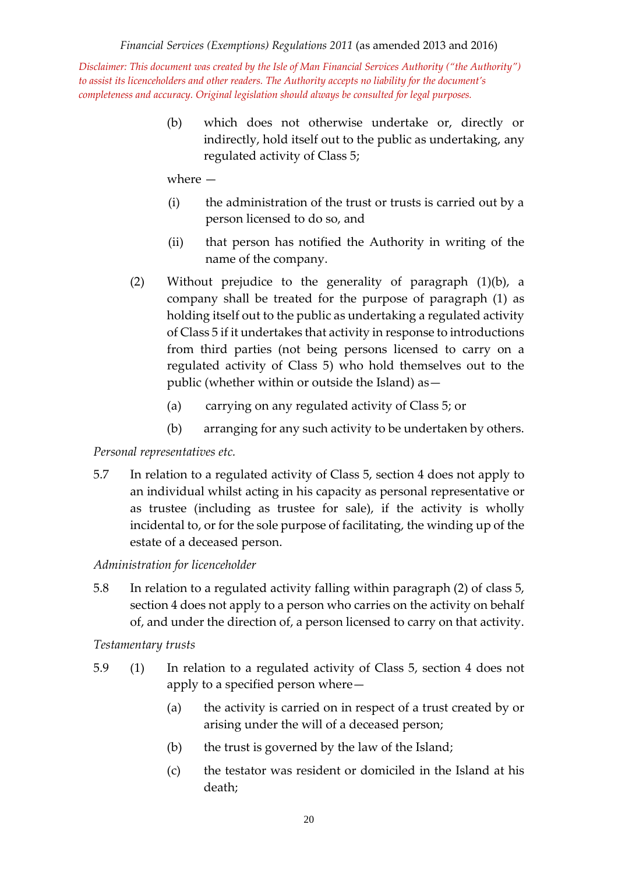> (b) which does not otherwise undertake or, directly or indirectly, hold itself out to the public as undertaking, any regulated activity of Class 5;

where —

- (i) the administration of the trust or trusts is carried out by a person licensed to do so, and
- (ii) that person has notified the Authority in writing of the name of the company.
- (2) Without prejudice to the generality of paragraph (1)(b), a company shall be treated for the purpose of paragraph (1) as holding itself out to the public as undertaking a regulated activity of Class 5 if it undertakes that activity in response to introductions from third parties (not being persons licensed to carry on a regulated activity of Class 5) who hold themselves out to the public (whether within or outside the Island) as—
	- (a) carrying on any regulated activity of Class 5; or
	- (b) arranging for any such activity to be undertaken by others.

# *Personal representatives etc.*

5.7 In relation to a regulated activity of Class 5, section 4 does not apply to an individual whilst acting in his capacity as personal representative or as trustee (including as trustee for sale), if the activity is wholly incidental to, or for the sole purpose of facilitating, the winding up of the estate of a deceased person.

# *Administration for licenceholder*

5.8 In relation to a regulated activity falling within paragraph (2) of class 5, section 4 does not apply to a person who carries on the activity on behalf of, and under the direction of, a person licensed to carry on that activity.

*Testamentary trusts*

- 5.9 (1) In relation to a regulated activity of Class 5, section 4 does not apply to a specified person where—
	- (a) the activity is carried on in respect of a trust created by or arising under the will of a deceased person;
	- (b) the trust is governed by the law of the Island;
	- (c) the testator was resident or domiciled in the Island at his death;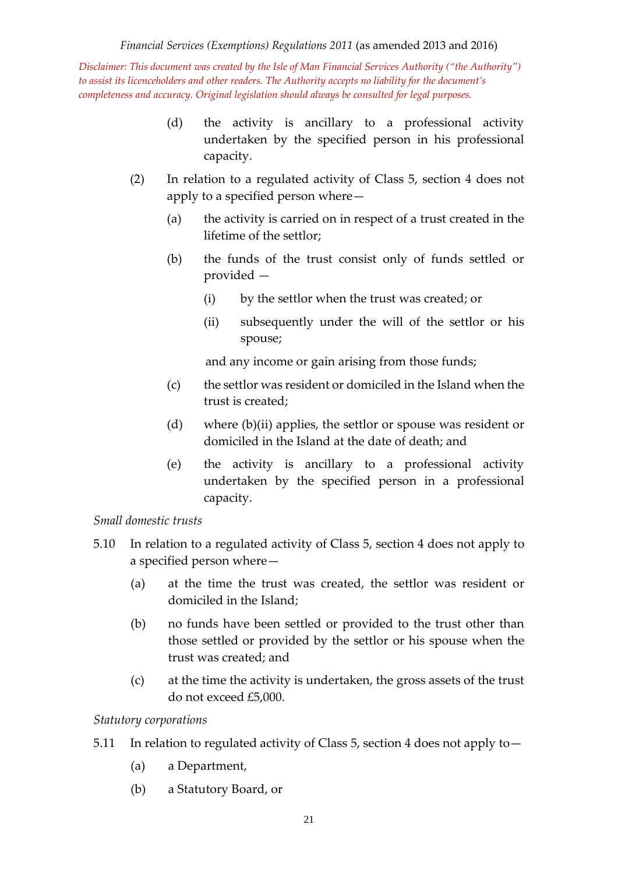- (d) the activity is ancillary to a professional activity undertaken by the specified person in his professional capacity.
- (2) In relation to a regulated activity of Class 5, section 4 does not apply to a specified person where—
	- (a) the activity is carried on in respect of a trust created in the lifetime of the settlor;
	- (b) the funds of the trust consist only of funds settled or provided —
		- (i) by the settlor when the trust was created; or
		- (ii) subsequently under the will of the settlor or his spouse;

and any income or gain arising from those funds;

- (c) the settlor was resident or domiciled in the Island when the trust is created;
- (d) where (b)(ii) applies, the settlor or spouse was resident or domiciled in the Island at the date of death; and
- (e) the activity is ancillary to a professional activity undertaken by the specified person in a professional capacity.

## *Small domestic trusts*

- 5.10 In relation to a regulated activity of Class 5, section 4 does not apply to a specified person where—
	- (a) at the time the trust was created, the settlor was resident or domiciled in the Island;
	- (b) no funds have been settled or provided to the trust other than those settled or provided by the settlor or his spouse when the trust was created; and
	- (c) at the time the activity is undertaken, the gross assets of the trust do not exceed £5,000.

## *Statutory corporations*

- 5.11 In relation to regulated activity of Class 5, section 4 does not apply to—
	- (a) a Department,
	- (b) a Statutory Board, or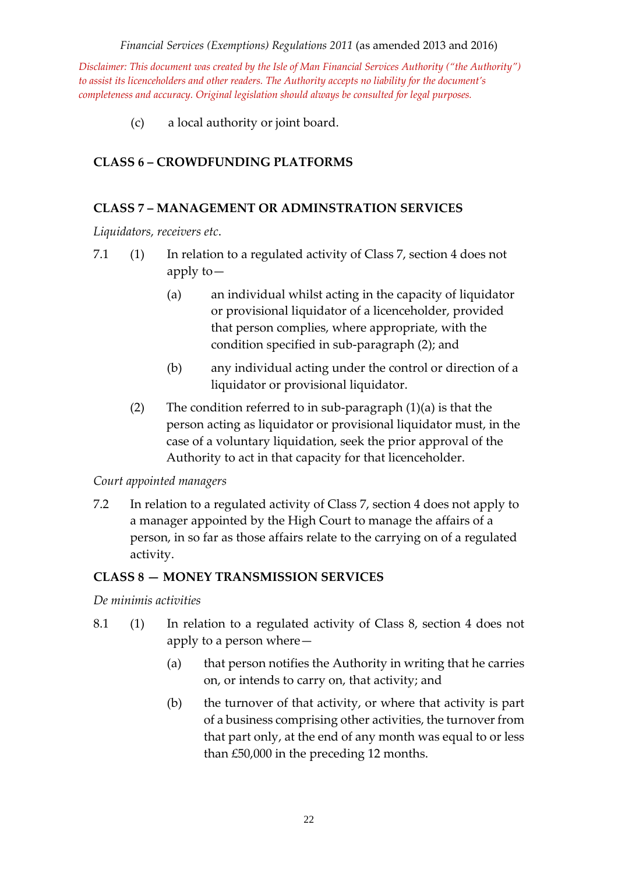*Disclaimer: This document was created by the Isle of Man Financial Services Authority ("the Authority") to assist its licenceholders and other readers. The Authority accepts no liability for the document's completeness and accuracy. Original legislation should always be consulted for legal purposes.*

(c) a local authority or joint board.

# **CLASS 6 – CROWDFUNDING PLATFORMS**

## **CLASS 7 – MANAGEMENT OR ADMINSTRATION SERVICES**

*Liquidators, receivers etc*.

- 7.1 (1) In relation to a regulated activity of Class 7, section 4 does not apply to—
	- (a) an individual whilst acting in the capacity of liquidator or provisional liquidator of a licenceholder, provided that person complies, where appropriate, with the condition specified in sub-paragraph (2); and
	- (b) any individual acting under the control or direction of a liquidator or provisional liquidator.
	- (2) The condition referred to in sub-paragraph  $(1)(a)$  is that the person acting as liquidator or provisional liquidator must, in the case of a voluntary liquidation, seek the prior approval of the Authority to act in that capacity for that licenceholder.

#### *Court appointed managers*

7.2 In relation to a regulated activity of Class 7, section 4 does not apply to a manager appointed by the High Court to manage the affairs of a person, in so far as those affairs relate to the carrying on of a regulated activity.

## **CLASS 8 — MONEY TRANSMISSION SERVICES**

*De minimis activities*

- 8.1 (1) In relation to a regulated activity of Class 8, section 4 does not apply to a person where—
	- (a) that person notifies the Authority in writing that he carries on, or intends to carry on, that activity; and
	- (b) the turnover of that activity, or where that activity is part of a business comprising other activities, the turnover from that part only, at the end of any month was equal to or less than £50,000 in the preceding 12 months.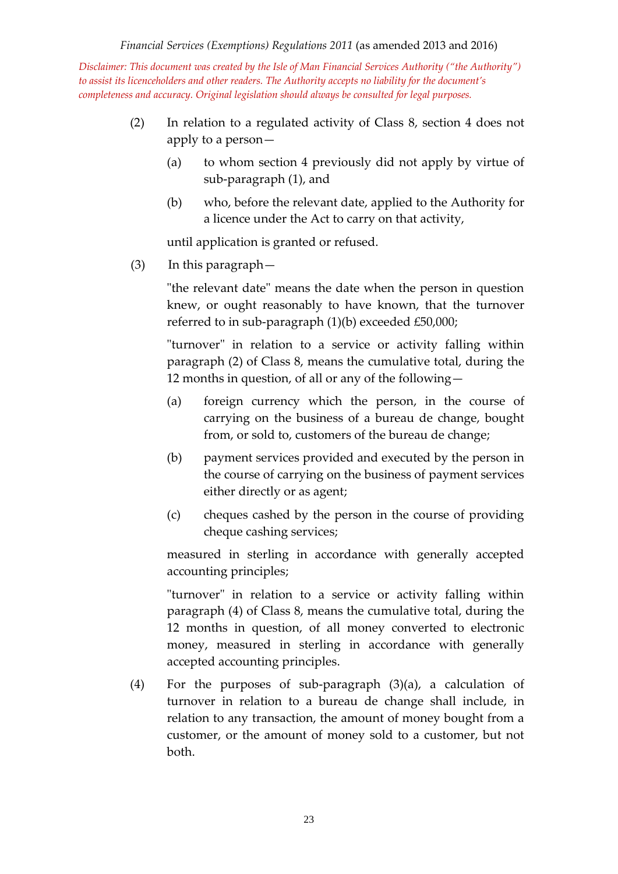- (2) In relation to a regulated activity of Class 8, section 4 does not apply to a person—
	- (a) to whom section 4 previously did not apply by virtue of sub-paragraph (1), and
	- (b) who, before the relevant date, applied to the Authority for a licence under the Act to carry on that activity,

until application is granted or refused.

(3) In this paragraph—

"the relevant date" means the date when the person in question knew, or ought reasonably to have known, that the turnover referred to in sub-paragraph (1)(b) exceeded £50,000;

"turnover" in relation to a service or activity falling within paragraph (2) of Class 8, means the cumulative total, during the 12 months in question, of all or any of the following—

- (a) foreign currency which the person, in the course of carrying on the business of a bureau de change, bought from, or sold to, customers of the bureau de change;
- (b) payment services provided and executed by the person in the course of carrying on the business of payment services either directly or as agent;
- (c) cheques cashed by the person in the course of providing cheque cashing services;

measured in sterling in accordance with generally accepted accounting principles;

"turnover" in relation to a service or activity falling within paragraph (4) of Class 8, means the cumulative total, during the 12 months in question, of all money converted to electronic money, measured in sterling in accordance with generally accepted accounting principles.

(4) For the purposes of sub-paragraph (3)(a), a calculation of turnover in relation to a bureau de change shall include, in relation to any transaction, the amount of money bought from a customer, or the amount of money sold to a customer, but not both.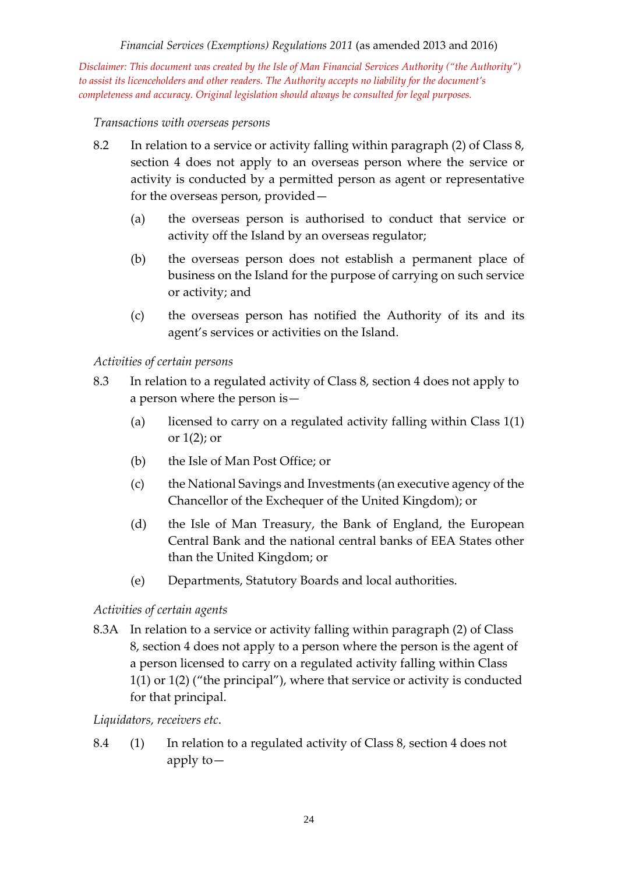*Disclaimer: This document was created by the Isle of Man Financial Services Authority ("the Authority") to assist its licenceholders and other readers. The Authority accepts no liability for the document's completeness and accuracy. Original legislation should always be consulted for legal purposes.*

#### *Transactions with overseas persons*

- 8.2 In relation to a service or activity falling within paragraph (2) of Class 8, section 4 does not apply to an overseas person where the service or activity is conducted by a permitted person as agent or representative for the overseas person, provided—
	- (a) the overseas person is authorised to conduct that service or activity off the Island by an overseas regulator;
	- (b) the overseas person does not establish a permanent place of business on the Island for the purpose of carrying on such service or activity; and
	- (c) the overseas person has notified the Authority of its and its agent's services or activities on the Island.

#### *Activities of certain persons*

- 8.3 In relation to a regulated activity of Class 8, section 4 does not apply to a person where the person is—
	- (a) licensed to carry on a regulated activity falling within Class  $1(1)$ or  $1(2)$ ; or
	- (b) the Isle of Man Post Office; or
	- (c) the National Savings and Investments (an executive agency of the Chancellor of the Exchequer of the United Kingdom); or
	- (d) the Isle of Man Treasury, the Bank of England, the European Central Bank and the national central banks of EEA States other than the United Kingdom; or
	- (e) Departments, Statutory Boards and local authorities.

## *Activities of certain agents*

8.3A In relation to a service or activity falling within paragraph (2) of Class 8, section 4 does not apply to a person where the person is the agent of a person licensed to carry on a regulated activity falling within Class 1(1) or 1(2) ("the principal"), where that service or activity is conducted for that principal.

#### *Liquidators, receivers etc*.

8.4 (1) In relation to a regulated activity of Class 8, section 4 does not apply to—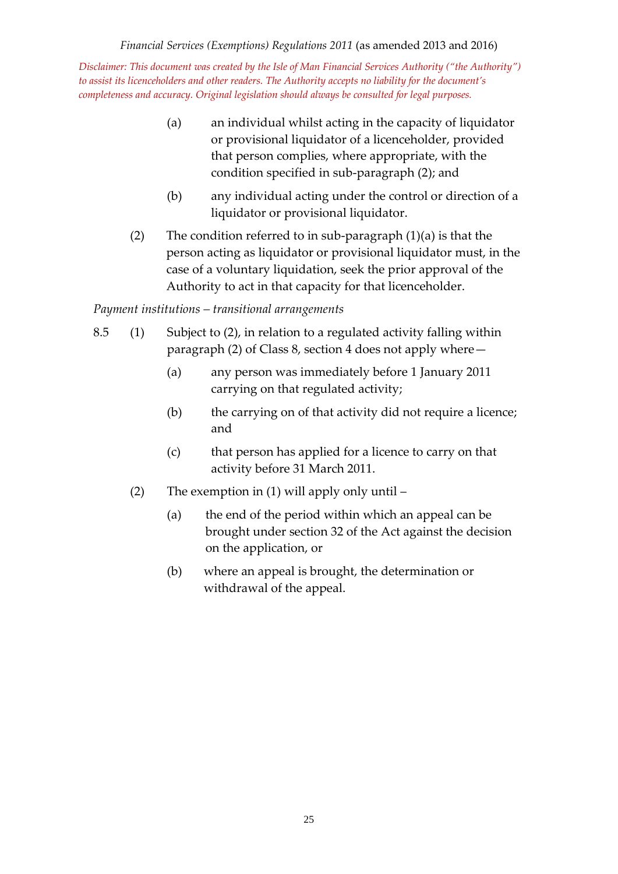- (a) an individual whilst acting in the capacity of liquidator or provisional liquidator of a licenceholder, provided that person complies, where appropriate, with the condition specified in sub-paragraph (2); and
- (b) any individual acting under the control or direction of a liquidator or provisional liquidator.
- (2) The condition referred to in sub-paragraph  $(1)(a)$  is that the person acting as liquidator or provisional liquidator must, in the case of a voluntary liquidation, seek the prior approval of the Authority to act in that capacity for that licenceholder.

## *Payment institutions – transitional arrangements*

- 8.5 (1) Subject to (2), in relation to a regulated activity falling within paragraph (2) of Class 8, section 4 does not apply where—
	- (a) any person was immediately before 1 January 2011 carrying on that regulated activity;
	- (b) the carrying on of that activity did not require a licence; and
	- (c) that person has applied for a licence to carry on that activity before 31 March 2011.
	- (2) The exemption in (1) will apply only until
		- (a) the end of the period within which an appeal can be brought under section 32 of the Act against the decision on the application, or
		- (b) where an appeal is brought, the determination or withdrawal of the appeal.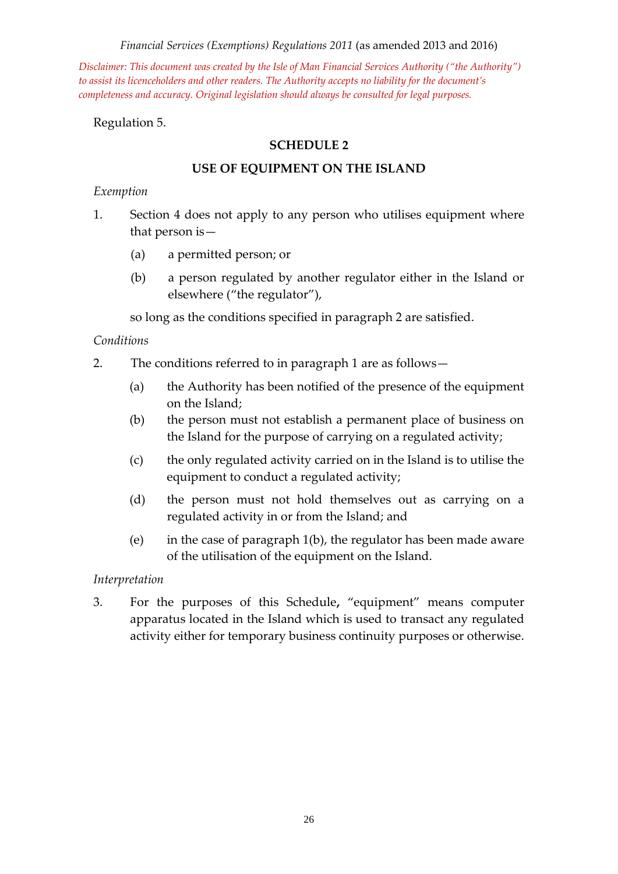*Disclaimer: This document was created by the Isle of Man Financial Services Authority ("the Authority") to assist its licenceholders and other readers. The Authority accepts no liability for the document's completeness and accuracy. Original legislation should always be consulted for legal purposes.*

Regulation 5.

#### **SCHEDULE 2**

#### **USE OF EQUIPMENT ON THE ISLAND**

#### *Exemption*

- 1. Section 4 does not apply to any person who utilises equipment where that person is—
	- (a) a permitted person; or
	- (b) a person regulated by another regulator either in the Island or elsewhere ("the regulator"),

so long as the conditions specified in paragraph 2 are satisfied.

#### *Conditions*

- 2. The conditions referred to in paragraph 1 are as follows—
	- (a) the Authority has been notified of the presence of the equipment on the Island;
	- (b) the person must not establish a permanent place of business on the Island for the purpose of carrying on a regulated activity;
	- (c) the only regulated activity carried on in the Island is to utilise the equipment to conduct a regulated activity;
	- (d) the person must not hold themselves out as carrying on a regulated activity in or from the Island; and
	- (e) in the case of paragraph 1(b), the regulator has been made aware of the utilisation of the equipment on the Island.

#### *Interpretation*

3. For the purposes of this Schedule**,** "equipment" means computer apparatus located in the Island which is used to transact any regulated activity either for temporary business continuity purposes or otherwise.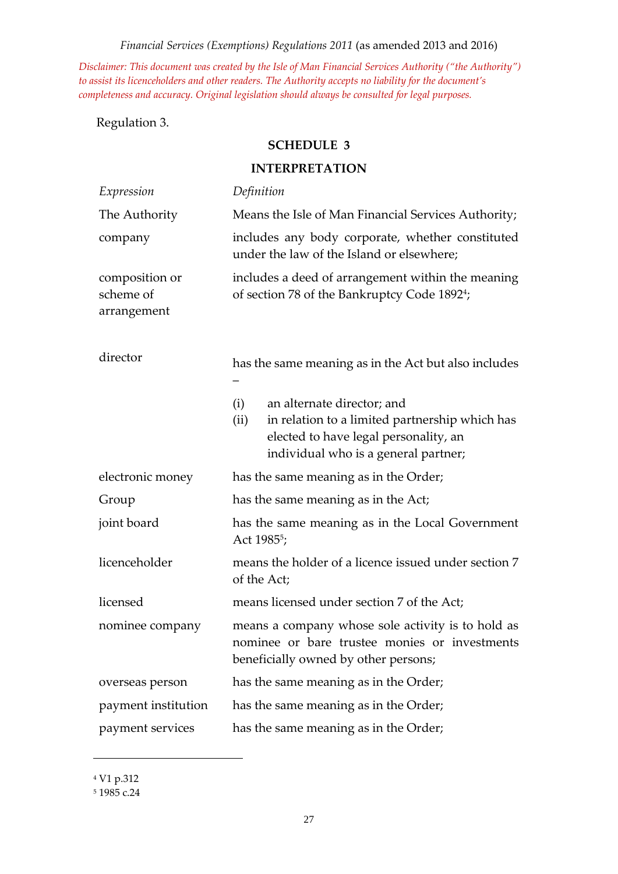*Disclaimer: This document was created by the Isle of Man Financial Services Authority ("the Authority") to assist its licenceholders and other readers. The Authority accepts no liability for the document's completeness and accuracy. Original legislation should always be consulted for legal purposes.*

Regulation 3.

#### **SCHEDULE 3**

| Expression                                 | Definition                                                                                                                                                                   |  |  |
|--------------------------------------------|------------------------------------------------------------------------------------------------------------------------------------------------------------------------------|--|--|
| The Authority                              | Means the Isle of Man Financial Services Authority;                                                                                                                          |  |  |
| company                                    | includes any body corporate, whether constituted<br>under the law of the Island or elsewhere;                                                                                |  |  |
| composition or<br>scheme of<br>arrangement | includes a deed of arrangement within the meaning<br>of section 78 of the Bankruptcy Code 1892 <sup>4</sup> ;                                                                |  |  |
| director                                   | has the same meaning as in the Act but also includes                                                                                                                         |  |  |
|                                            | an alternate director; and<br>(i)<br>in relation to a limited partnership which has<br>(ii)<br>elected to have legal personality, an<br>individual who is a general partner; |  |  |
| electronic money                           | has the same meaning as in the Order;                                                                                                                                        |  |  |
| Group                                      | has the same meaning as in the Act;                                                                                                                                          |  |  |
| joint board                                | has the same meaning as in the Local Government<br>Act 1985 <sup>5</sup> ;                                                                                                   |  |  |
| licenceholder                              | means the holder of a licence issued under section 7<br>of the Act;                                                                                                          |  |  |
| licensed                                   | means licensed under section 7 of the Act;                                                                                                                                   |  |  |
| nominee company                            | means a company whose sole activity is to hold as<br>nominee or bare trustee monies or investments<br>beneficially owned by other persons;                                   |  |  |
| overseas person                            | has the same meaning as in the Order;                                                                                                                                        |  |  |
| payment institution                        | has the same meaning as in the Order;                                                                                                                                        |  |  |
| payment services                           | has the same meaning as in the Order;                                                                                                                                        |  |  |

# **INTERPRETATION**

<sup>4</sup> V1 p.312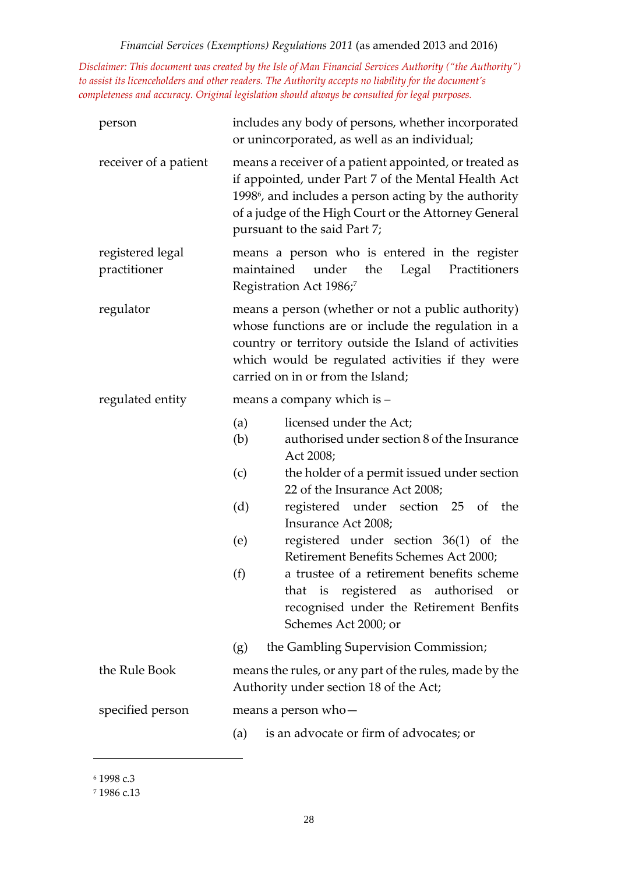*Disclaimer: This document was created by the Isle of Man Financial Services Authority ("the Authority") to assist its licenceholders and other readers. The Authority accepts no liability for the document's completeness and accuracy. Original legislation should always be consulted for legal purposes.*

| person                           | includes any body of persons, whether incorporated<br>or unincorporated, as well as an individual;                                                                                                                                                                         |                                                                                                                                                                     |  |
|----------------------------------|----------------------------------------------------------------------------------------------------------------------------------------------------------------------------------------------------------------------------------------------------------------------------|---------------------------------------------------------------------------------------------------------------------------------------------------------------------|--|
| receiver of a patient            | means a receiver of a patient appointed, or treated as<br>if appointed, under Part 7 of the Mental Health Act<br>1998 <sup>6</sup> , and includes a person acting by the authority<br>of a judge of the High Court or the Attorney General<br>pursuant to the said Part 7; |                                                                                                                                                                     |  |
| registered legal<br>practitioner | means a person who is entered in the register<br>maintained under<br>the<br>Legal<br>Practitioners<br>Registration Act 1986;7                                                                                                                                              |                                                                                                                                                                     |  |
| regulator                        | means a person (whether or not a public authority)<br>whose functions are or include the regulation in a<br>country or territory outside the Island of activities<br>which would be regulated activities if they were<br>carried on in or from the Island;                 |                                                                                                                                                                     |  |
| regulated entity                 | means a company which is -                                                                                                                                                                                                                                                 |                                                                                                                                                                     |  |
|                                  | (a)<br>(b)                                                                                                                                                                                                                                                                 | licensed under the Act;<br>authorised under section 8 of the Insurance<br>Act 2008;                                                                                 |  |
|                                  | (c)                                                                                                                                                                                                                                                                        | the holder of a permit issued under section<br>22 of the Insurance Act 2008;                                                                                        |  |
|                                  | (d)                                                                                                                                                                                                                                                                        | registered under section 25 of<br>the<br>Insurance Act 2008;                                                                                                        |  |
|                                  | (e)                                                                                                                                                                                                                                                                        | registered under section 36(1) of the<br>Retirement Benefits Schemes Act 2000;                                                                                      |  |
|                                  | (f)                                                                                                                                                                                                                                                                        | a trustee of a retirement benefits scheme<br>registered as authorised<br>that<br>is<br><b>or</b><br>recognised under the Retirement Benfits<br>Schemes Act 2000; or |  |
|                                  | (g)                                                                                                                                                                                                                                                                        | the Gambling Supervision Commission;                                                                                                                                |  |
| the Rule Book                    | means the rules, or any part of the rules, made by the<br>Authority under section 18 of the Act;                                                                                                                                                                           |                                                                                                                                                                     |  |
| specified person                 | means a person who-                                                                                                                                                                                                                                                        |                                                                                                                                                                     |  |
|                                  | (a)                                                                                                                                                                                                                                                                        | is an advocate or firm of advocates; or                                                                                                                             |  |

<sup>6</sup> 1998 c.3

<sup>7</sup> 1986 c.13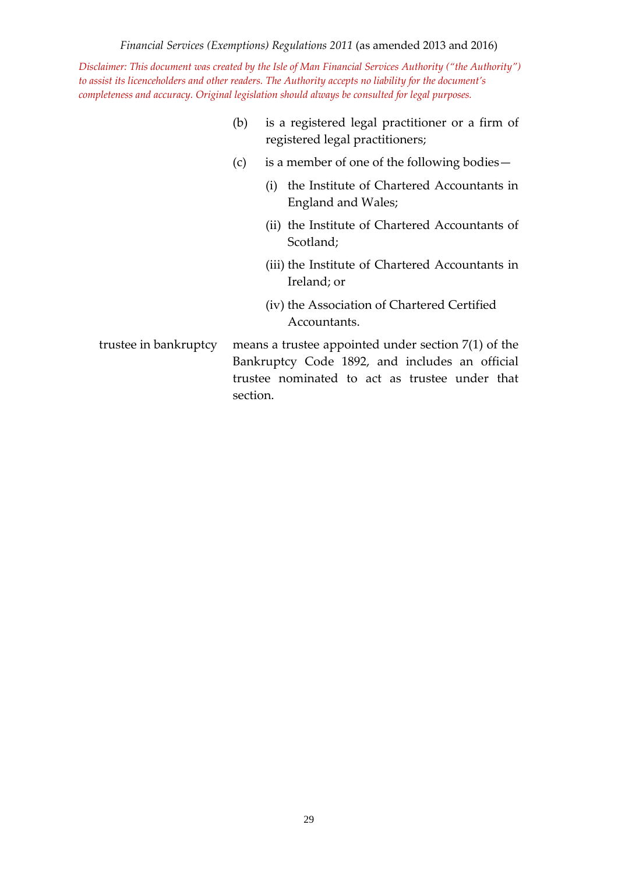*Disclaimer: This document was created by the Isle of Man Financial Services Authority ("the Authority") to assist its licenceholders and other readers. The Authority accepts no liability for the document's completeness and accuracy. Original legislation should always be consulted for legal purposes.*

- (b) is a registered legal practitioner or a firm of registered legal practitioners;
- (c) is a member of one of the following bodies—
	- (i) the Institute of Chartered Accountants in England and Wales;
	- (ii) the Institute of Chartered Accountants of Scotland;
	- (iii) the Institute of Chartered Accountants in Ireland; or
	- (iv) the Association of Chartered Certified Accountants.
- trustee in bankruptcy means a trustee appointed under section 7(1) of the Bankruptcy Code 1892, and includes an official trustee nominated to act as trustee under that section.